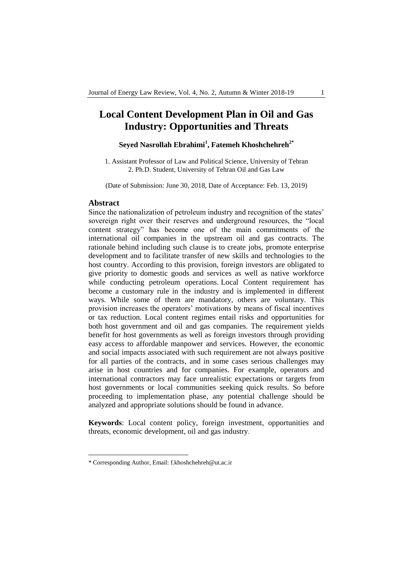# **Local Content Development Plan in Oil and Gas Industry: Opportunities and Threats**

## **Seyed Nasrollah Ebrahimi<sup>1</sup> , Fatemeh Khoshchehreh2\***

1. Assistant Professor of Law and Political Science, University of Tehran 2. Ph.D. Student, University of Tehran Oil and Gas Law

(Date of Submission: June 30, 2018, Date of Acceptance: Feb. 13, 2019)

### **Abstract**

-

Since the nationalization of petroleum industry and recognition of the states' sovereign right over their reserves and underground resources, the "local content strategy" has become one of the main commitments of the international oil companies in the upstream oil and gas contracts. The rationale behind including such clause is to create jobs, promote enterprise development and to facilitate transfer of new skills and technologies to the host country. According to this provision, foreign investors are obligated to give priority to domestic goods and services as well as native workforce while conducting petroleum operations. Local Content requirement has become a customary rule in the industry and is implemented in different ways. While some of them are mandatory, others are voluntary. This provision increases the operators' motivations by means of fiscal incentives or tax reduction. Local content regimes entail risks and opportunities for both host government and oil and gas companies. The requirement yields benefit for host governments as well as foreign investors through providing easy access to affordable manpower and services. However, the economic and social impacts associated with such requirement are not always positive for all parties of the contracts, and in some cases serious challenges may arise in host countries and for companies. For example, operators and international contractors may face unrealistic expectations or targets from host governments or local communities seeking quick results. So before proceeding to implementation phase, any potential challenge should be analyzed and appropriate solutions should be found in advance.

**Keywords**: Local content policy, foreign investment, opportunities and threats, economic development, oil and gas industry.

<sup>\*</sup> Corresponding Author, Email: f.khoshchehreh@ut.ac.ir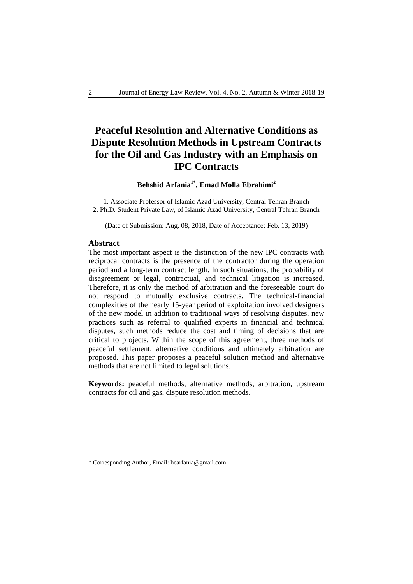# **Peaceful Resolution and Alternative Conditions as Dispute Resolution Methods in Upstream Contracts for the Oil and Gas Industry with an Emphasis on IPC Contracts**

## **Behshid Arfania1\* , Emad Molla Ebrahimi<sup>2</sup>**

1. Associate Professor of Islamic Azad University, Central Tehran Branch 2. Ph.D. Student Private Law, of Islamic Azad University, Central Tehran Branch

(Date of Submission: Aug. 08, 2018, Date of Acceptance: Feb. 13, 2019)

### **Abstract**

-

The most important aspect is the distinction of the new IPC contracts with reciprocal contracts is the presence of the contractor during the operation period and a long-term contract length. In such situations, the probability of disagreement or legal, contractual, and technical litigation is increased. Therefore, it is only the method of arbitration and the foreseeable court do not respond to mutually exclusive contracts. The technical-financial complexities of the nearly 15-year period of exploitation involved designers of the new model in addition to traditional ways of resolving disputes, new practices such as referral to qualified experts in financial and technical disputes, such methods reduce the cost and timing of decisions that are critical to projects. Within the scope of this agreement, three methods of peaceful settlement, alternative conditions and ultimately arbitration are proposed. This paper proposes a peaceful solution method and alternative methods that are not limited to legal solutions.

**Keywords:** peaceful methods, alternative methods, arbitration, upstream contracts for oil and gas, dispute resolution methods.

<sup>\*</sup> Corresponding Author, Email: bearfania@gmail.com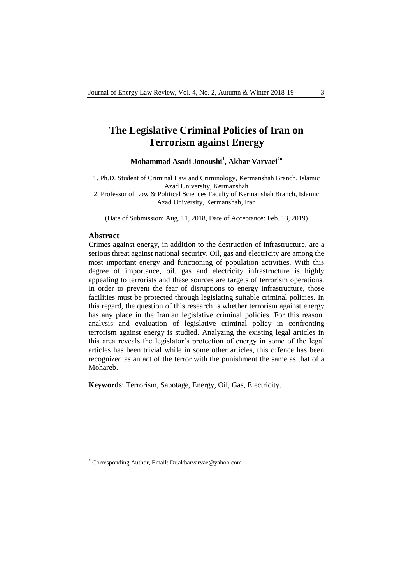# **The Legislative Criminal Policies of Iran on Terrorism against Energy**

**Mohammad Asadi Jonoushi<sup>1</sup> , Akbar Varvaei<sup>2</sup>**

1. Ph.D. Student of Criminal Law and Criminology, Kermanshah Branch, Islamic Azad University, Kermanshah 2. Professor of Low & Political Sciences Faculty of Kermanshah Branch, Islamic

Azad University, Kermanshah, Iran

(Date of Submission: Aug. 11, 2018, Date of Acceptance: Feb. 13, 2019)

### **Abstract**

1

Crimes against energy, in addition to the destruction of infrastructure, are a serious threat against national security. Oil, gas and electricity are among the most important energy and functioning of population activities. With this degree of importance, oil, gas and electricity infrastructure is highly appealing to terrorists and these sources are targets of terrorism operations. In order to prevent the fear of disruptions to energy infrastructure, those facilities must be protected through legislating suitable criminal policies. In this regard, the question of this research is whether terrorism against energy has any place in the Iranian legislative criminal policies. For this reason, analysis and evaluation of legislative criminal policy in confronting terrorism against energy is studied. Analyzing the existing legal articles in this area reveals the legislator's protection of energy in some of the legal articles has been trivial while in some other articles, this offence has been recognized as an act of the terror with the punishment the same as that of a Mohareb.

**Keywords**: Terrorism, Sabotage, Energy, Oil, Gas, Electricity.

Corresponding Author, Email: Dr.akbarvarvae@yahoo.com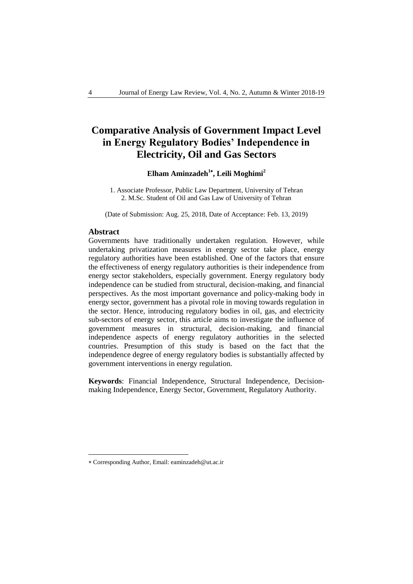# **Comparative Analysis of Government Impact Level in Energy Regulatory Bodies' Independence in Electricity, Oil and Gas Sectors**

## **Elham Aminzadeh<sup>1</sup> , Leili Moghimi<sup>2</sup>**

1. Associate Professor, Public Law Department, University of Tehran 2. M.Sc. Student of Oil and Gas Law of University of Tehran

(Date of Submission: Aug. 25, 2018, Date of Acceptance: Feb. 13, 2019)

### **Abstract**

-

Governments have traditionally undertaken regulation. However, while undertaking privatization measures in energy sector take place, energy regulatory authorities have been established. One of the factors that ensure the effectiveness of energy regulatory authorities is their independence from energy sector stakeholders, especially government. Energy regulatory body independence can be studied from structural, decision-making, and financial perspectives. As the most important governance and policy-making body in energy sector, government has a pivotal role in moving towards regulation in the sector. Hence, introducing regulatory bodies in oil, gas, and electricity sub-sectors of energy sector, this article aims to investigate the influence of government measures in structural, decision-making, and financial independence aspects of energy regulatory authorities in the selected countries. Presumption of this study is based on the fact that the independence degree of energy regulatory bodies is substantially affected by government interventions in energy regulation.

**Keywords**: Financial Independence, Structural Independence, Decisionmaking Independence, Energy Sector, Government, Regulatory Authority.

Corresponding Author, Email: eaminzadeh@ut.ac.ir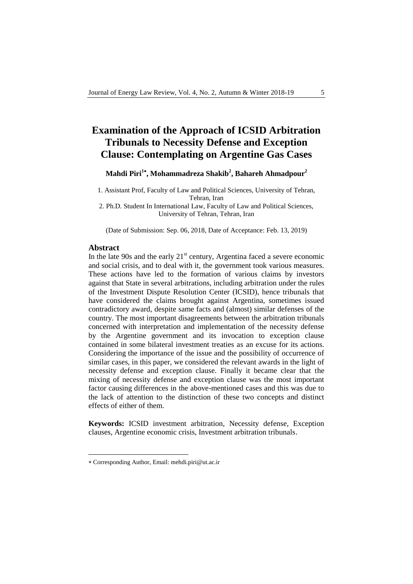# **Examination of the Approach of ICSID Arbitration Tribunals to Necessity Defense and Exception Clause: Contemplating on Argentine Gas Cases**

## **Mahdi Piri<sup>1</sup> , Mohammadreza Shakib<sup>2</sup> , Bahareh Ahmadpour<sup>2</sup>**

1. Assistant Prof, Faculty of Law and Political Sciences, University of Tehran, Tehran, Iran

2. Ph.D. Student In International Law, Faculty of Law and Political Sciences, University of Tehran, Tehran, Iran

(Date of Submission: Sep. 06, 2018, Date of Acceptance: Feb. 13, 2019)

### **Abstract**

-

In the late 90s and the early  $21<sup>st</sup>$  century, Argentina faced a severe economic and social crisis, and to deal with it, the government took various measures. These actions have led to the formation of various claims by investors against that State in several arbitrations, including arbitration under the rules of the Investment Dispute Resolution Center (ICSID), hence tribunals that have considered the claims brought against Argentina, sometimes issued contradictory award, despite same facts and (almost) similar defenses of the country. The most important disagreements between the arbitration tribunals concerned with interpretation and implementation of the necessity defense by the Argentine government and its invocation to exception clause contained in some bilateral investment treaties as an excuse for its actions. Considering the importance of the issue and the possibility of occurrence of similar cases, in this paper, we considered the relevant awards in the light of necessity defense and exception clause. Finally it became clear that the mixing of necessity defense and exception clause was the most important factor causing differences in the above-mentioned cases and this was due to the lack of attention to the distinction of these two concepts and distinct effects of either of them.

**Keywords:** ICSID investment arbitration, Necessity defense, Exception clauses, Argentine economic crisis, Investment arbitration tribunals.

Corresponding Author, Email: mehdi.piri@ut.ac.ir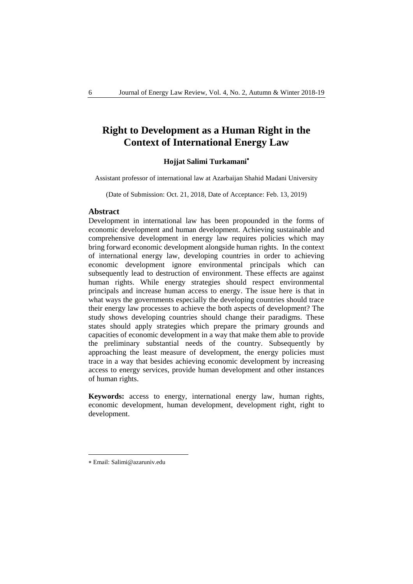# **Right to Development as a Human Right in the Context of International Energy Law**

### **Hojjat Salimi Turkamani**

Assistant professor of international law at Azarbaijan Shahid Madani University

(Date of Submission: Oct. 21, 2018, Date of Acceptance: Feb. 13, 2019)

### **Abstract**

Development in international law has been propounded in the forms of economic development and human development. Achieving sustainable and comprehensive development in energy law requires policies which may bring forward economic development alongside human rights. In the context of international energy law, developing countries in order to achieving economic development ignore environmental principals which can subsequently lead to destruction of environment. These effects are against human rights. While energy strategies should respect environmental principals and increase human access to energy. The issue here is that in what ways the governments especially the developing countries should trace their energy law processes to achieve the both aspects of development? The study shows developing countries should change their paradigms. These states should apply strategies which prepare the primary grounds and capacities of economic development in a way that make them able to provide the preliminary substantial needs of the country. Subsequently by approaching the least measure of development, the energy policies must trace in a way that besides achieving economic development by increasing access to energy services, provide human development and other instances of human rights.

**Keywords:** access to energy, international energy law, human rights, economic development, human development, development right, right to development.

-

Email: Salimi@azaruniv.edu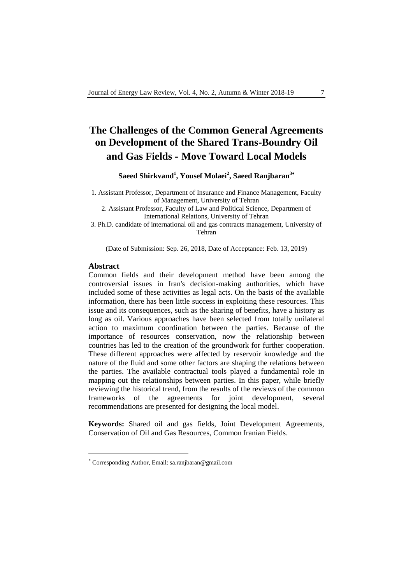# **The Challenges of the Common General Agreements on Development of the Shared Trans-Boundry Oil and Gas Fields - Move Toward Local Models**

**Saeed Shirkvand<sup>1</sup> , Yousef Molaei<sup>2</sup> , Saeed Ranjbaran<sup>3</sup>**

1. Assistant Professor, Department of Insurance and Finance Management, Faculty of Management, University of Tehran

2. Assistant Professor, Faculty of Law and Political Science, Department of International Relations, University of Tehran

3. Ph.D. candidate of international oil and gas contracts management, University of Tehran

(Date of Submission: Sep. 26, 2018, Date of Acceptance: Feb. 13, 2019)

### **Abstract**

1

Common fields and their development method have been among the controversial issues in Iran's decision-making authorities, which have included some of these activities as legal acts. On the basis of the available information, there has been little success in exploiting these resources. This issue and its consequences, such as the sharing of benefits, have a history as long as oil. Various approaches have been selected from totally unilateral action to maximum coordination between the parties. Because of the importance of resources conservation, now the relationship between countries has led to the creation of the groundwork for further cooperation. These different approaches were affected by reservoir knowledge and the nature of the fluid and some other factors are shaping the relations between the parties. The available contractual tools played a fundamental role in mapping out the relationships between parties. In this paper, while briefly reviewing the historical trend, from the results of the reviews of the common frameworks of the agreements for joint development, several recommendations are presented for designing the local model.

**Keywords:** Shared oil and gas fields, Joint Development Agreements, Conservation of Oil and Gas Resources, Common Iranian Fields.

Corresponding Author, Email: sa.ranjbaran@gmail.com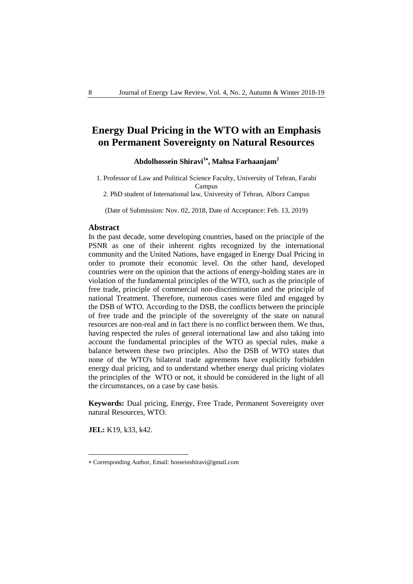# **Energy Dual Pricing in the WTO with an Emphasis on Permanent Sovereignty on Natural Resources**

## **Abdolhossein Shiravi<sup>1</sup> , Mahsa Farhaanjam<sup>2</sup>**

1. Professor of Law and Political Science Faculty, University of Tehran, Farabi Campus

2. PhD student of International law, University of Tehran, Alborz Campus

(Date of Submission: Nov. 02, 2018, Date of Acceptance: Feb. 13, 2019)

### **Abstract**

In the past decade, some developing countries, based on the principle of the PSNR as one of their inherent rights recognized by the international community and the United Nations, have engaged in Energy Dual Pricing in order to promote their economic level. On the other hand, developed countries were on the opinion that the actions of energy-holding states are in violation of the fundamental principles of the WTO, such as the principle of free trade, principle of commercial non-discrimination and the principle of national Treatment. Therefore, numerous cases were filed and engaged by the DSB of WTO. According to the DSB, the conflicts between the principle of free trade and the principle of the sovereignty of the state on natural resources are non-real and in fact there is no conflict between them. We thus, having respected the rules of general international law and also taking into account the fundamental principles of the WTO as special rules, make a balance between these two principles. Also the DSB of WTO states that none of the WTO's bilateral trade agreements have explicitly forbidden energy dual pricing, and to understand whether energy dual pricing violates the principles of the WTO or not, it should be considered in the light of all the circumstances, on a case by case basis.

**Keywords:** Dual pricing, Energy, Free Trade, Permanent Sovereignty over natural Resources, WTO.

**JEL:** K19, k33, k42.

-

Corresponding Author, Email: hosseinshiravi@gmail.com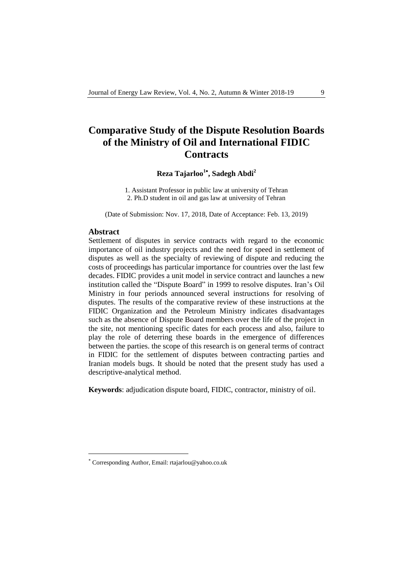# **Comparative Study of the Dispute Resolution Boards of the Ministry of Oil and International FIDIC Contracts**

## **Reza Tajarloo<sup>1</sup> , Sadegh Abdi<sup>2</sup>**

1. Assistant Professor in public law at university of Tehran 2. Ph.D student in oil and gas law at university of Tehran

(Date of Submission: Nov. 17, 2018, Date of Acceptance: Feb. 13, 2019)

### **Abstract**

1

Settlement of disputes in service contracts with regard to the economic importance of oil industry projects and the need for speed in settlement of disputes as well as the specialty of reviewing of dispute and reducing the costs of proceedings has particular importance for countries over the last few decades. FIDIC provides a unit model in service contract and launches a new institution called the "Dispute Board" in 1999 to resolve disputes. Iran's Oil Ministry in four periods announced several instructions for resolving of disputes. The results of the comparative review of these instructions at the FIDIC Organization and the Petroleum Ministry indicates disadvantages such as the absence of Dispute Board members over the life of the project in the site, not mentioning specific dates for each process and also, failure to play the role of deterring these boards in the emergence of differences between the parties. the scope of this research is on general terms of contract in FIDIC for the settlement of disputes between contracting parties and Iranian models bugs. It should be noted that the present study has used a descriptive-analytical method.

**Keywords**: adjudication dispute board, FIDIC, contractor, ministry of oil.

Corresponding Author, Email: rtajarlou@yahoo.co.uk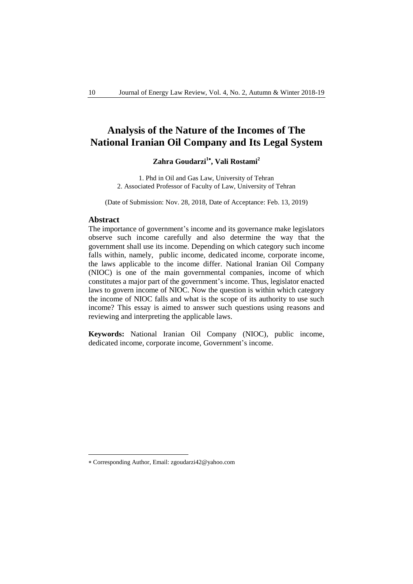# **Analysis of the Nature of the Incomes of The National Iranian Oil Company and Its Legal System**

## **Zahra Goudarzi<sup>1</sup> , Vali Rostami<sup>2</sup>**

1. Phd in Oil and Gas Law, University of Tehran 2. Associated Professor of Faculty of Law, University of Tehran

(Date of Submission: Nov. 28, 2018, Date of Acceptance: Feb. 13, 2019)

#### **Abstract**

-

The importance of government's income and its governance make legislators observe such income carefully and also determine the way that the government shall use its income. Depending on which category such income falls within, namely, public income, dedicated income, corporate income, the laws applicable to the income differ. National Iranian Oil Company (NIOC) is one of the main governmental companies, income of which constitutes a major part of the government's income. Thus, legislator enacted laws to govern income of NIOC. Now the question is within which category the income of NIOC falls and what is the scope of its authority to use such income? This essay is aimed to answer such questions using reasons and reviewing and interpreting the applicable laws.

**Keywords:** National Iranian Oil Company (NIOC), public income, dedicated income, corporate income, Government's income.

Corresponding Author, Email: zgoudarzi42@yahoo.com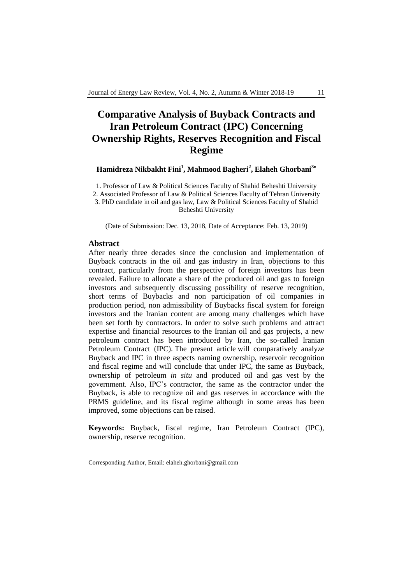# **Comparative Analysis of Buyback Contracts and Iran Petroleum Contract (IPC) Concerning Ownership Rights, Reserves Recognition and Fiscal Regime**

**Hamidreza Nikbakht Fini<sup>1</sup> , Mahmood Bagheri<sup>2</sup> , Elaheh Ghorbani<sup>3</sup>**

1. Professor of Law & Political Sciences Faculty of Shahid Beheshti University 2. Associated Professor of Law & Political Sciences Faculty of Tehran University 3. PhD candidate in oil and gas law, Law & Political Sciences Faculty of Shahid Beheshti University

(Date of Submission: Dec. 13, 2018, Date of Acceptance: Feb. 13, 2019)

#### **Abstract**

-

After nearly three decades since the conclusion and implementation of Buyback contracts in the oil and gas industry in Iran, objections to this contract, particularly from the perspective of foreign investors has been revealed. Failure to allocate a share of the produced oil and gas to foreign investors and subsequently discussing possibility of reserve recognition, short terms of Buybacks and non participation of oil companies in production period, non admissibility of Buybacks fiscal system for foreign investors and the Iranian content are among many challenges which have been set forth by contractors. In order to solve such problems and attract expertise and financial resources to the Iranian oil and gas projects, a new petroleum contract has been introduced by Iran, the so-called Iranian Petroleum Contract (IPC). The present article will comparatively analyze Buyback and IPC in three aspects naming ownership, reservoir recognition and fiscal regime and will conclude that under IPC, the same as Buyback, ownership of petroleum *in situ* and produced oil and gas vest by the government. Also, IPC's contractor, the same as the contractor under the Buyback, is able to recognize oil and gas reserves in accordance with the PRMS guideline, and its fiscal regime although in some areas has been improved, some objections can be raised.

**Keywords:** Buyback, fiscal regime, Iran Petroleum Contract (IPC), ownership, reserve recognition.

Corresponding Author, Email: elaheh.ghorbani@gmail.com